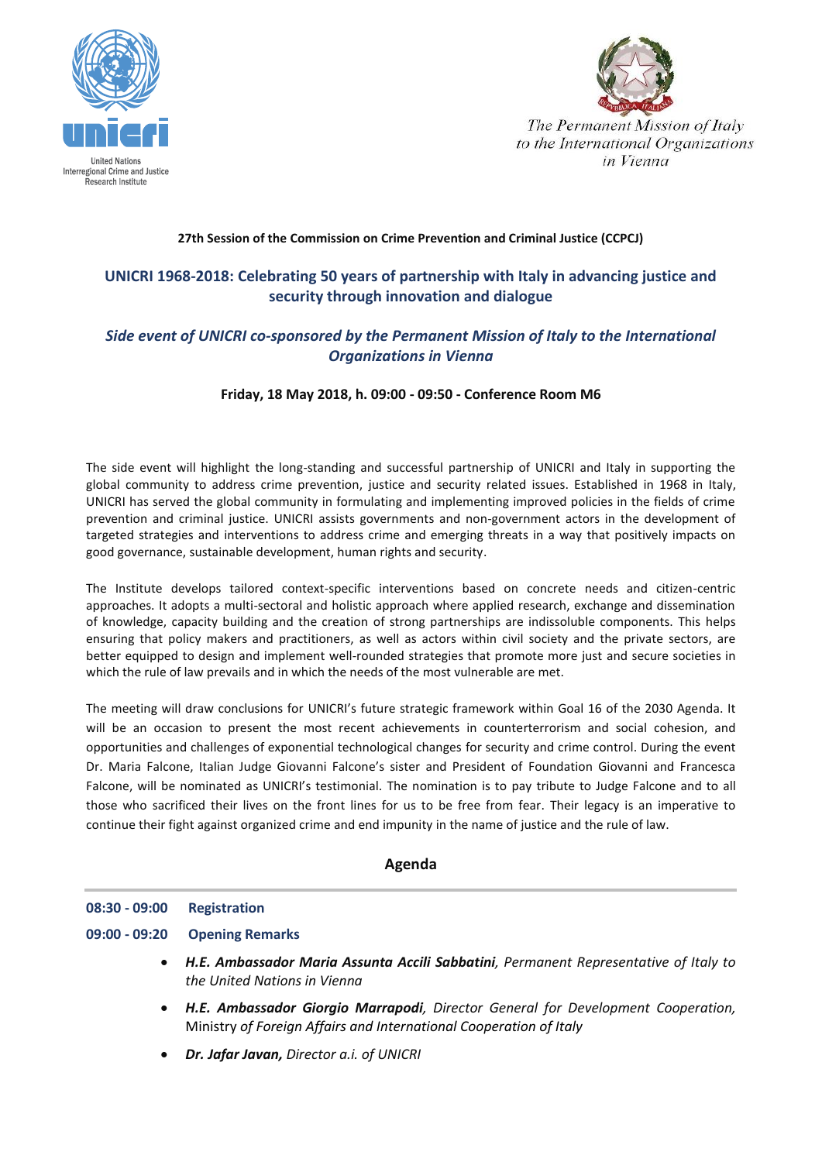



The Permanent Mission of Italy to the International Organizations in Vienna

## **27th Session of the Commission on Crime Prevention and Criminal Justice (CCPCJ)**

# **UNICRI 1968-2018: Celebrating 50 years of partnership with Italy in advancing justice and security through innovation and dialogue**

# *Side event of UNICRI co-sponsored by the Permanent Mission of Italy to the International Organizations in Vienna*

### **Friday, 18 May 2018, h. 09:00 - 09:50 - Conference Room M6**

The side event will highlight the long-standing and successful partnership of UNICRI and Italy in supporting the global community to address crime prevention, justice and security related issues. Established in 1968 in Italy, UNICRI has served the global community in formulating and implementing improved policies in the fields of crime prevention and criminal justice. UNICRI assists governments and non-government actors in the development of targeted strategies and interventions to address crime and emerging threats in a way that positively impacts on good governance, sustainable development, human rights and security.

The Institute develops tailored context-specific interventions based on concrete needs and citizen-centric approaches. It adopts a multi-sectoral and holistic approach where applied research, exchange and dissemination of knowledge, capacity building and the creation of strong partnerships are indissoluble components. This helps ensuring that policy makers and practitioners, as well as actors within civil society and the private sectors, are better equipped to design and implement well-rounded strategies that promote more just and secure societies in which the rule of law prevails and in which the needs of the most vulnerable are met.

The meeting will draw conclusions for UNICRI's future strategic framework within Goal 16 of the 2030 Agenda. It will be an occasion to present the most recent achievements in counterterrorism and social cohesion, and opportunities and challenges of exponential technological changes for security and crime control. During the event Dr. Maria Falcone, Italian Judge Giovanni Falcone's sister and President of Foundation Giovanni and Francesca Falcone, will be nominated as UNICRI's testimonial. The nomination is to pay tribute to Judge Falcone and to all those who sacrificed their lives on the front lines for us to be free from fear. Their legacy is an imperative to continue their fight against organized crime and end impunity in the name of justice and the rule of law.

## **Agenda**

### **08:30 - 09:00 Registration**

- **09:00 - 09:20 Opening Remarks**
	- *H.E. Ambassador Maria Assunta Accili Sabbatini, Permanent Representative of Italy to the United Nations in Vienna*
	- *H.E. Ambassador Giorgio Marrapodi, Director General for Development Cooperation,* Ministry *of Foreign Affairs and International Cooperation of Italy*
	- *Dr. Jafar Javan, Director a.i. of UNICRI*